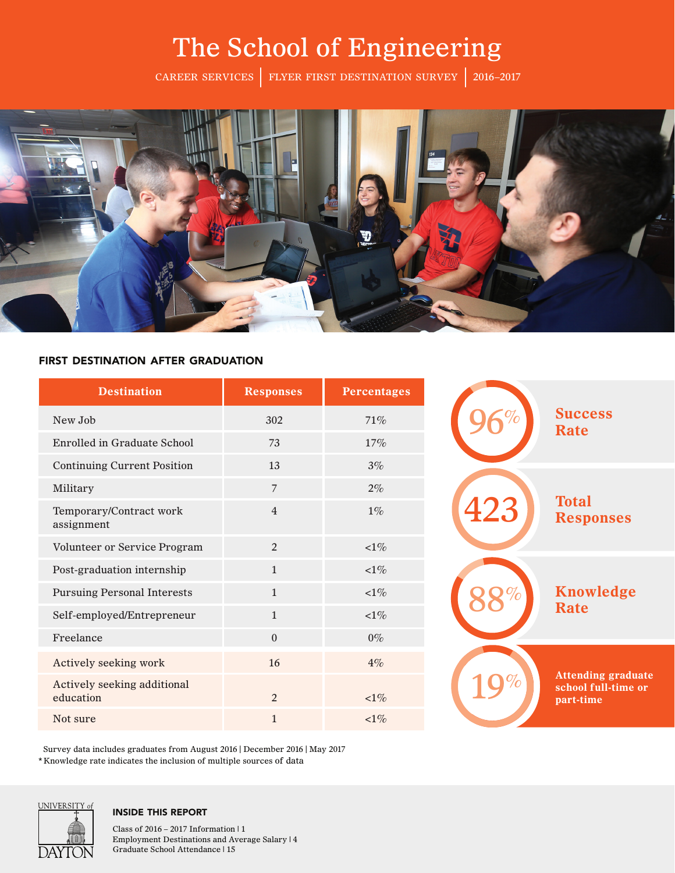## The School of Engineering

CAREER SERVICES FLYER FIRST DESTINATION SURVEY 2016–2017



#### first destination after graduation

| <b>Destination</b>                       | <b>Responses</b> | <b>Percentages</b> |
|------------------------------------------|------------------|--------------------|
| New Job                                  | 302              | 71%                |
| Enrolled in Graduate School              | 73               | 17%                |
| <b>Continuing Current Position</b>       | 13               | $3\%$              |
| Military                                 | $\overline{7}$   | $2\%$              |
| Temporary/Contract work<br>assignment    | $\overline{4}$   | $1\%$              |
| Volunteer or Service Program             | $\overline{2}$   | ${<}1\%$           |
| Post-graduation internship               | $\mathbf{1}$     | $<1\%$             |
| <b>Pursuing Personal Interests</b>       | $\mathbf{1}$     | $<1\%$             |
| Self-employed/Entrepreneur               | $\mathbf{1}$     | $<1\%$             |
| Freelance                                | $\boldsymbol{0}$ | $0\%$              |
| Actively seeking work                    | 16               | $4\%$              |
| Actively seeking additional<br>education | $\overline{2}$   | $<1\%$             |
| Not sure                                 | $\mathbf{1}$     | $<1\%$             |

Survey data includes graduates from August 2016 | December 2016 | May 2017 \* Knowledge rate indicates the inclusion of multiple sources of data



#### inside this report

Class of 2016 – 2017 Information | 1 Employment Destinations and Average Salary | 4 Graduate School Attendance | 15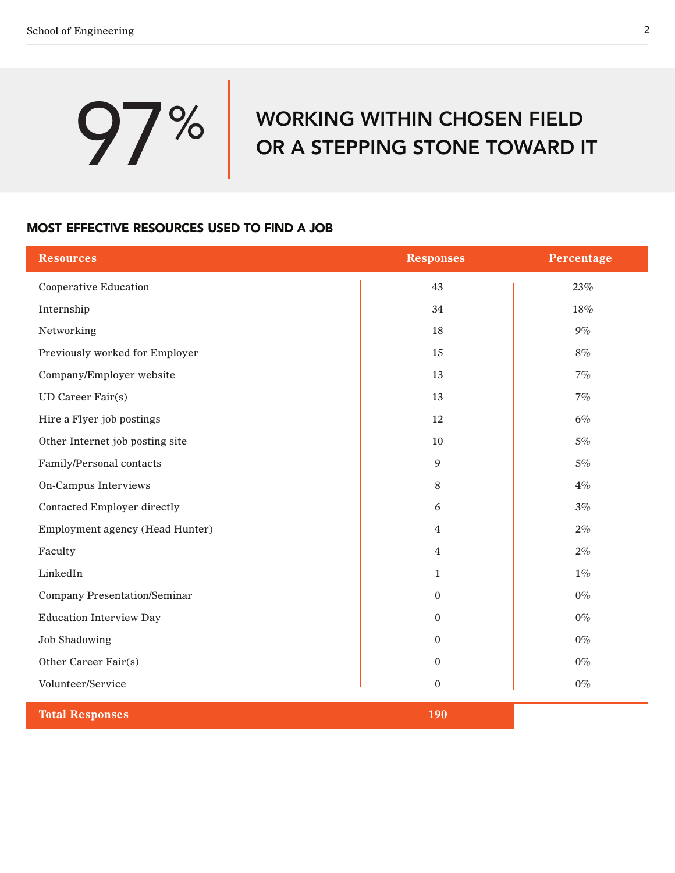# **97%** WORKING WITHIN CHOSEN FIELD<br>OR A STEPPING STONE TOWARD I OR A STEPPING STONE TOWARD IT

#### most effective resources used to find a job

| <b>Resources</b>                    | <b>Responses</b> | Percentage |
|-------------------------------------|------------------|------------|
| <b>Cooperative Education</b>        | 43               | 23%        |
| Internship                          | 34               | $18\%$     |
| Networking                          | 18               | $9\%$      |
| Previously worked for Employer      | 15               | $8\%$      |
| Company/Employer website            | 13               | 7%         |
| UD Career Fair(s)                   | 13               | 7%         |
| Hire a Flyer job postings           | 12               | $6\%$      |
| Other Internet job posting site     | 10               | $5\%$      |
| Family/Personal contacts            | $\overline{9}$   | $5\%$      |
| On-Campus Interviews                | $8\,$            | $4\%$      |
| <b>Contacted Employer directly</b>  | 6                | 3%         |
| Employment agency (Head Hunter)     | $\overline{4}$   | $2\%$      |
| Faculty                             | 4                | $2\%$      |
| LinkedIn                            | $\mathbf{1}$     | $1\%$      |
| <b>Company Presentation/Seminar</b> | $\mathbf{0}$     | $0\%$      |
| <b>Education Interview Day</b>      | $\boldsymbol{0}$ | $0\%$      |
| <b>Job Shadowing</b>                | $\mathbf{0}$     | $0\%$      |
| Other Career Fair(s)                | $\mathbf{0}$     | $0\%$      |
| Volunteer/Service                   | $\mathbf{0}$     | $0\%$      |
| <b>Total Responses</b>              | 190              |            |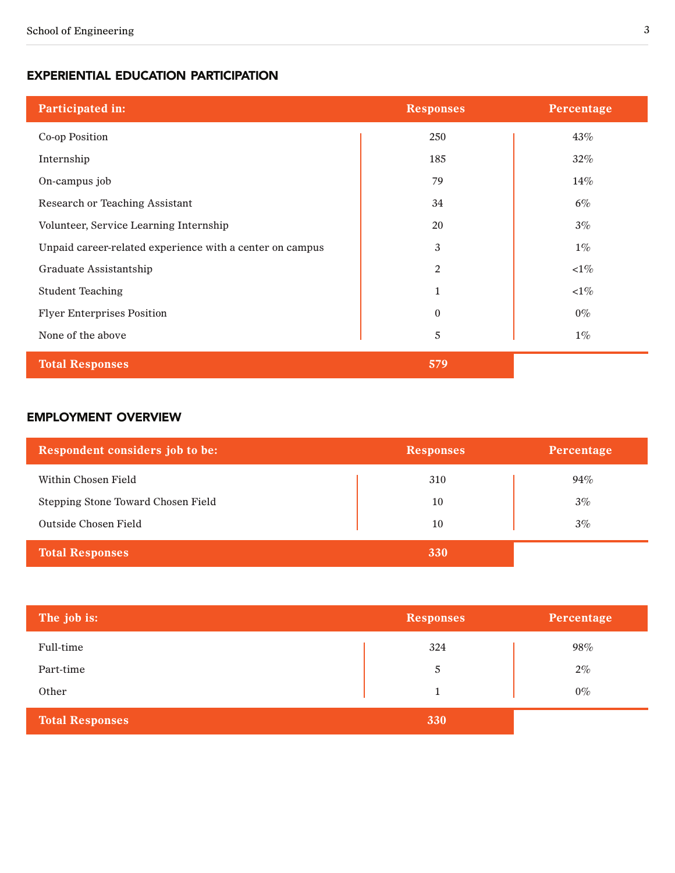#### experiential education participation

| Participated in:                                         | <b>Responses</b> | Percentage |
|----------------------------------------------------------|------------------|------------|
| Co-op Position                                           | 250              | 43%        |
| Internship                                               | 185              | $32\%$     |
| On-campus job                                            | 79               | $14\%$     |
| <b>Research or Teaching Assistant</b>                    | 34               | $6\%$      |
| Volunteer, Service Learning Internship                   | 20               | $3\%$      |
| Unpaid career-related experience with a center on campus | 3                | $1\%$      |
| Graduate Assistantship                                   | $\overline{2}$   | $<\!\!1\%$ |
| <b>Student Teaching</b>                                  | $\mathbf{1}$     | $<1\%$     |
| <b>Flyer Enterprises Position</b>                        | $\Omega$         | $0\%$      |
| None of the above                                        | 5                | $1\%$      |
| <b>Total Responses</b>                                   | 579              |            |

#### employment overview

| Respondent considers job to be:    | <b>Responses</b> | Percentage |
|------------------------------------|------------------|------------|
| Within Chosen Field                | 310              | 94%        |
| Stepping Stone Toward Chosen Field | 10               | 3%         |
| Outside Chosen Field               | 10               | $3\%$      |
| <b>Total Responses</b>             | 330              |            |

| The job is:            | <b>Responses</b> | Percentage |
|------------------------|------------------|------------|
| Full-time              | 324              | 98%        |
| Part-time              | 5                | $2\%$      |
| Other                  |                  | $0\%$      |
| <b>Total Responses</b> | 330              |            |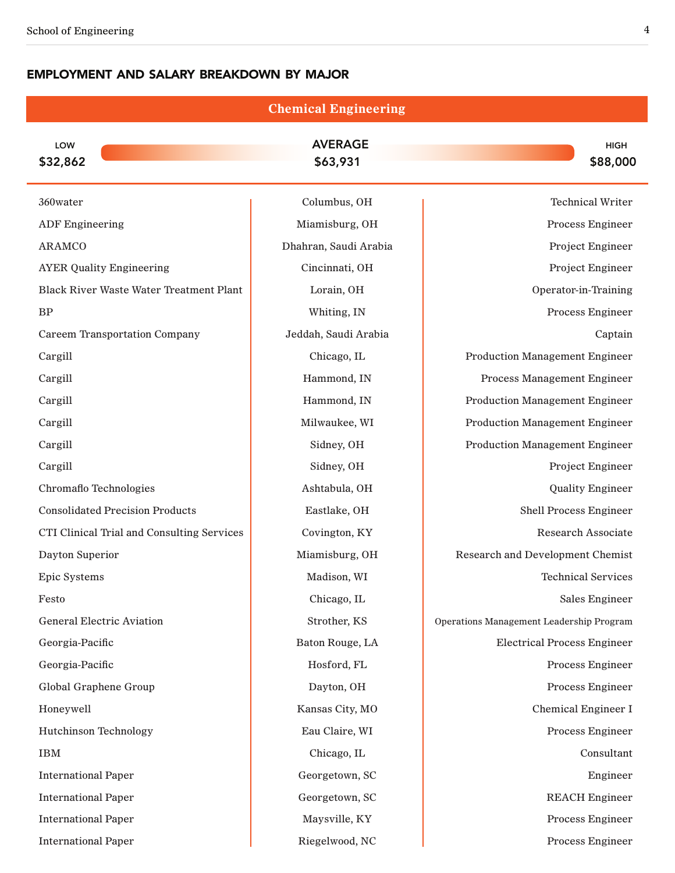Ě.

#### employment and salary breakdown by major

|                                                | <b>Chemical Engineering</b> |                                          |
|------------------------------------------------|-----------------------------|------------------------------------------|
| LOW<br>\$32,862                                | <b>AVERAGE</b><br>\$63,931  | <b>HIGH</b><br>\$88,000                  |
| 360water                                       | Columbus, OH                | <b>Technical Writer</b>                  |
| <b>ADF</b> Engineering                         | Miamisburg, OH              | Process Engineer                         |
| <b>ARAMCO</b>                                  | Dhahran, Saudi Arabia       | Project Engineer                         |
| <b>AYER Quality Engineering</b>                | Cincinnati, OH              | Project Engineer                         |
| <b>Black River Waste Water Treatment Plant</b> | Lorain, OH                  | Operator-in-Training                     |
| BP                                             | Whiting, IN                 | Process Engineer                         |
| <b>Careem Transportation Company</b>           | Jeddah, Saudi Arabia        | Captain                                  |
| Cargill                                        | Chicago, IL                 | <b>Production Management Engineer</b>    |
| Cargill                                        | Hammond, IN                 | Process Management Engineer              |
| Cargill                                        | Hammond, IN                 | <b>Production Management Engineer</b>    |
| Cargill                                        | Milwaukee, WI               | <b>Production Management Engineer</b>    |
| Cargill                                        | Sidney, OH                  | <b>Production Management Engineer</b>    |
| Cargill                                        | Sidney, OH                  | Project Engineer                         |
| Chromaflo Technologies                         | Ashtabula, OH               | <b>Quality Engineer</b>                  |
| <b>Consolidated Precision Products</b>         | Eastlake, OH                | Shell Process Engineer                   |
| CTI Clinical Trial and Consulting Services     | Covington, KY               | <b>Research Associate</b>                |
| Dayton Superior                                | Miamisburg, OH              | <b>Research and Development Chemist</b>  |
| Epic Systems                                   | Madison, WI                 | <b>Technical Services</b>                |
| Festo                                          | Chicago, IL                 | Sales Engineer                           |
| <b>General Electric Aviation</b>               | Strother, KS                | Operations Management Leadership Program |
| Georgia-Pacific                                | Baton Rouge, LA             | <b>Electrical Process Engineer</b>       |
| Georgia-Pacific                                | Hosford, FL                 | Process Engineer                         |
| Global Graphene Group                          | Dayton, OH                  | Process Engineer                         |
| Honeywell                                      | Kansas City, MO             | Chemical Engineer I                      |
| <b>Hutchinson Technology</b>                   | Eau Claire, WI              | Process Engineer                         |
| <b>IBM</b>                                     | Chicago, IL                 | Consultant                               |
| <b>International Paper</b>                     | Georgetown, SC              | Engineer                                 |
| <b>International Paper</b>                     | Georgetown, SC              | <b>REACH Engineer</b>                    |
| <b>International Paper</b>                     | Maysville, KY               | Process Engineer                         |
| <b>International Paper</b>                     | Riegelwood, NC              | Process Engineer                         |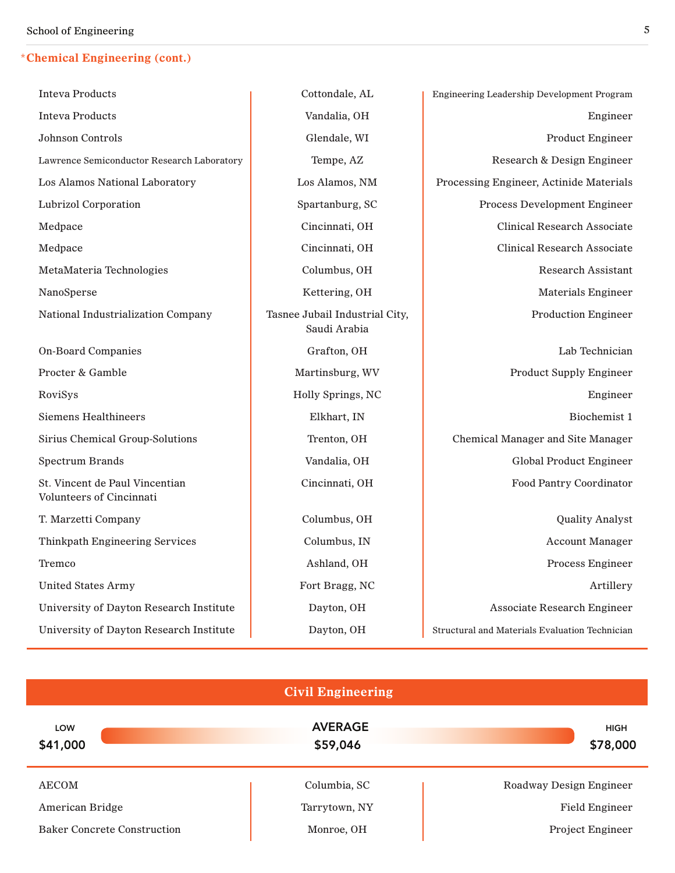#### **\*Chemical Engineering (cont.)**

| <b>Inteva Products</b>                                     | Cottondale, AL                                 | <b>Engineering Leadership Development Program</b> |
|------------------------------------------------------------|------------------------------------------------|---------------------------------------------------|
| <b>Inteva Products</b>                                     | Vandalia, OH                                   | Engineer                                          |
| <b>Johnson Controls</b>                                    | Glendale, WI                                   | <b>Product Engineer</b>                           |
| Lawrence Semiconductor Research Laboratory                 | Tempe, AZ                                      | Research & Design Engineer                        |
| Los Alamos National Laboratory                             | Los Alamos, NM                                 | Processing Engineer, Actinide Materials           |
| <b>Lubrizol Corporation</b>                                | Spartanburg, SC                                | Process Development Engineer                      |
| Medpace                                                    | Cincinnati, OH                                 | <b>Clinical Research Associate</b>                |
| Medpace                                                    | Cincinnati, OH                                 | <b>Clinical Research Associate</b>                |
| MetaMateria Technologies                                   | Columbus, OH                                   | <b>Research Assistant</b>                         |
| NanoSperse                                                 | Kettering, OH                                  | <b>Materials Engineer</b>                         |
| National Industrialization Company                         | Tasnee Jubail Industrial City,<br>Saudi Arabia | <b>Production Engineer</b>                        |
| <b>On-Board Companies</b>                                  | Grafton, OH                                    | Lab Technician                                    |
| Procter & Gamble                                           | Martinsburg, WV                                | <b>Product Supply Engineer</b>                    |
| RoviSys                                                    | Holly Springs, NC                              | Engineer                                          |
| Siemens Healthineers                                       | Elkhart, IN                                    | Biochemist 1                                      |
| Sirius Chemical Group-Solutions                            | Trenton, OH                                    | Chemical Manager and Site Manager                 |
| <b>Spectrum Brands</b>                                     | Vandalia, OH                                   | <b>Global Product Engineer</b>                    |
| St. Vincent de Paul Vincentian<br>Volunteers of Cincinnati | Cincinnati, OH                                 | <b>Food Pantry Coordinator</b>                    |
| T. Marzetti Company                                        | Columbus, OH                                   | <b>Quality Analyst</b>                            |
| <b>Thinkpath Engineering Services</b>                      | Columbus, IN                                   | <b>Account Manager</b>                            |
| Tremco                                                     | Ashland, OH                                    | Process Engineer                                  |
| <b>United States Army</b>                                  | Fort Bragg, NC                                 | Artillery                                         |
| University of Dayton Research Institute                    | Dayton, OH                                     | <b>Associate Research Engineer</b>                |
| University of Dayton Research Institute                    | Dayton, OH                                     | Structural and Materials Evaluation Technician    |
|                                                            |                                                |                                                   |

|                                    | <b>Civil Engineering</b>   |                         |
|------------------------------------|----------------------------|-------------------------|
| LOW<br>\$41,000                    | <b>AVERAGE</b><br>\$59,046 | <b>HIGH</b><br>\$78,000 |
| <b>AECOM</b>                       | Columbia, SC               | Roadway Design Engineer |
| American Bridge                    | Tarrytown, NY              | <b>Field Engineer</b>   |
| <b>Baker Concrete Construction</b> | Monroe, OH                 | Project Engineer        |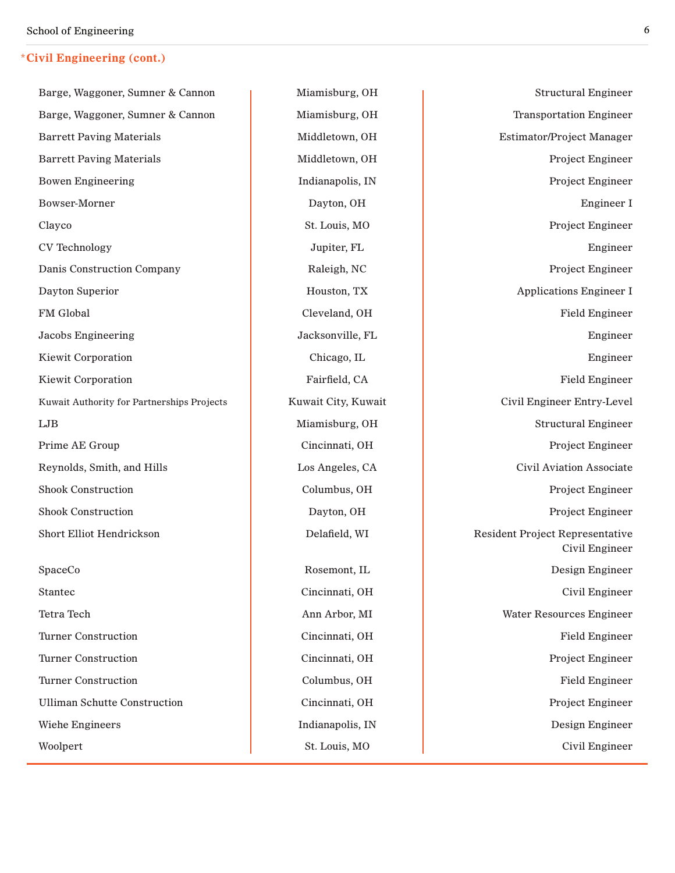#### **\*Civil Engineering (cont.)**

Barge, Waggoner, Sumner & Cannon  $\parallel$  Miamisburg, OH  $\parallel$  Structural Engineer Barge, Waggoner, Sumner & Cannon Miamisburg, OH Transportation Engineer Barrett Paving Materials **Middletown, OH** Estimator/Project Manager Barrett Paving Materials **Middletown, OH** Project Engineer Bowen Engineering **Indianapolis**, IN Project Engineer Bowser-Morner **Dayton, OH** Dayton, OH **Engineer I** Clayco St. Louis, MO Project Engineer CV Technology **Southern COV** Technology **Jupiter, FL** Technology **Jupiter, FL** Technology **Engineer** Danis Construction Company and Raleigh, NC Project Engineer Dayton Superior **No. 2. In the Contract Engineer I** Houston, TX Applications Engineer I FM Global **FM Global** Cleveland, OH **Field Engineer** Field Engineer Jacobs Engineering The Jacksonville, FL The True of the Engineer Kiewit Corporation and the Chicago, IL Chicago, IL Engineer Kiewit Corporation **Fairfield, CA** Fairfield, CA Field Engineer Kuwait Authority for Partnerships Projects Kuwait City, Kuwait City, Kuwait Civil Engineer Entry-Level LJB **Miamisburg, OH** Structural Engineer Prime AE Group Cincinnati, OH Project Engineer Reynolds, Smith, and Hills **Los Angeles, CA** Civil Aviation Associate Shook Construction and Columbus, OH Project Engineer Shook Construction **Dayton, OH** Dayton, OH Project Engineer Short Elliot Hendrickson **Delafield, WI** Resident Project Representative SpaceCo **Rosemont, IL Design Engineer Rosemont, IL** Design Engineer Stantec Civil Engineer Civil Engineer Civil Engineer Civil Engineer Tetra Tech **Anne Anne Anne Anne Anne Arbor, MI** Water Resources Engineer

Civil Engineer Turner Construction **Cincinnati** Cincinnati, OH **Field Engineer Field Engineer** Turner Construction **Cincinnati** Cincinnati, OH Project Engineer Turner Construction Columbus, OH Field Engineer Ulliman Schutte Construction **Cincinnati**, OH Project Engineer Wiehe Engineers and The Indianapolis, IN Design Engineer Woolpert Civil Engineer St. Louis, MO Civil Engineer Civil Engineer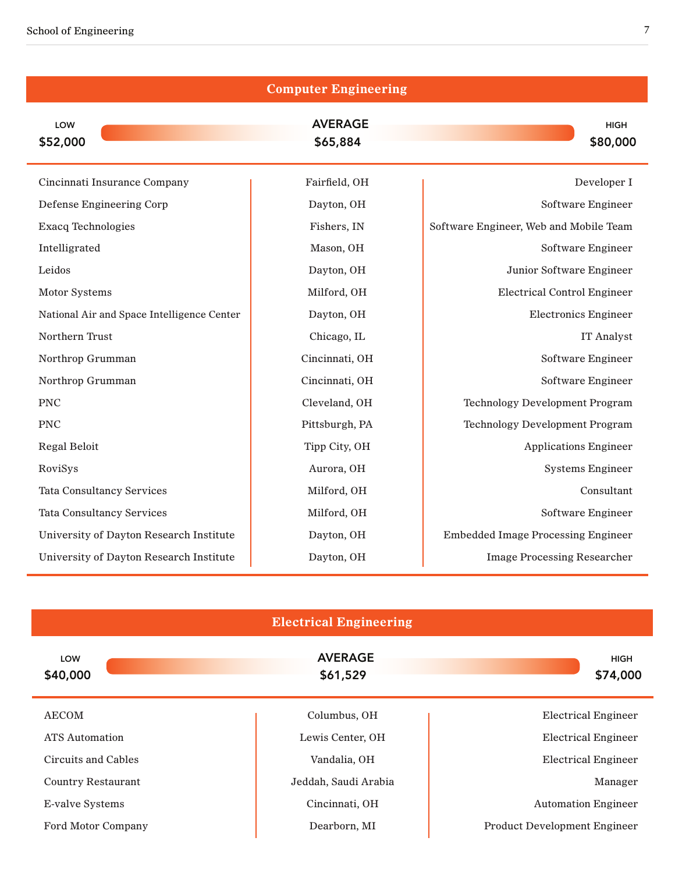|                                            | <b>Computer Engineering</b> |                                           |
|--------------------------------------------|-----------------------------|-------------------------------------------|
| LOW<br>\$52,000                            | <b>AVERAGE</b><br>\$65,884  | <b>HIGH</b><br>\$80,000                   |
| Cincinnati Insurance Company               | Fairfield, OH               | Developer I                               |
| Defense Engineering Corp                   | Dayton, OH                  | Software Engineer                         |
| <b>Exacq Technologies</b>                  | Fishers, IN                 | Software Engineer, Web and Mobile Team    |
| Intelligrated                              | Mason, OH                   | Software Engineer                         |
| Leidos                                     | Dayton, OH                  | Junior Software Engineer                  |
| <b>Motor Systems</b>                       | Milford, OH                 | <b>Electrical Control Engineer</b>        |
| National Air and Space Intelligence Center | Dayton, OH                  | <b>Electronics Engineer</b>               |
| Northern Trust                             | Chicago, IL                 | <b>IT Analyst</b>                         |
| Northrop Grumman                           | Cincinnati, OH              | Software Engineer                         |
| Northrop Grumman                           | Cincinnati, OH              | Software Engineer                         |
| <b>PNC</b>                                 | Cleveland, OH               | <b>Technology Development Program</b>     |
| <b>PNC</b>                                 | Pittsburgh, PA              | <b>Technology Development Program</b>     |
| Regal Beloit                               | Tipp City, OH               | <b>Applications Engineer</b>              |
| RoviSys                                    | Aurora, OH                  | <b>Systems Engineer</b>                   |
| <b>Tata Consultancy Services</b>           | Milford, OH                 | Consultant                                |
| <b>Tata Consultancy Services</b>           | Milford, OH                 | Software Engineer                         |
| University of Dayton Research Institute    | Dayton, OH                  | <b>Embedded Image Processing Engineer</b> |
| University of Dayton Research Institute    | Dayton, OH                  | <b>Image Processing Researcher</b>        |

| <b>Electrical Engineering</b> |                            |                                     |  |
|-------------------------------|----------------------------|-------------------------------------|--|
| <b>LOW</b><br>\$40,000        | <b>AVERAGE</b><br>\$61,529 | <b>HIGH</b><br>\$74,000             |  |
| AECOM                         | Columbus, OH               | <b>Electrical Engineer</b>          |  |
| <b>ATS</b> Automation         | Lewis Center, OH           | <b>Electrical Engineer</b>          |  |
| Circuits and Cables           | Vandalia, OH               | <b>Electrical Engineer</b>          |  |
| <b>Country Restaurant</b>     | Jeddah, Saudi Arabia       | Manager                             |  |
| <b>E-valve Systems</b>        | Cincinnati, OH             | <b>Automation Engineer</b>          |  |
| Ford Motor Company            | Dearborn, MI               | <b>Product Development Engineer</b> |  |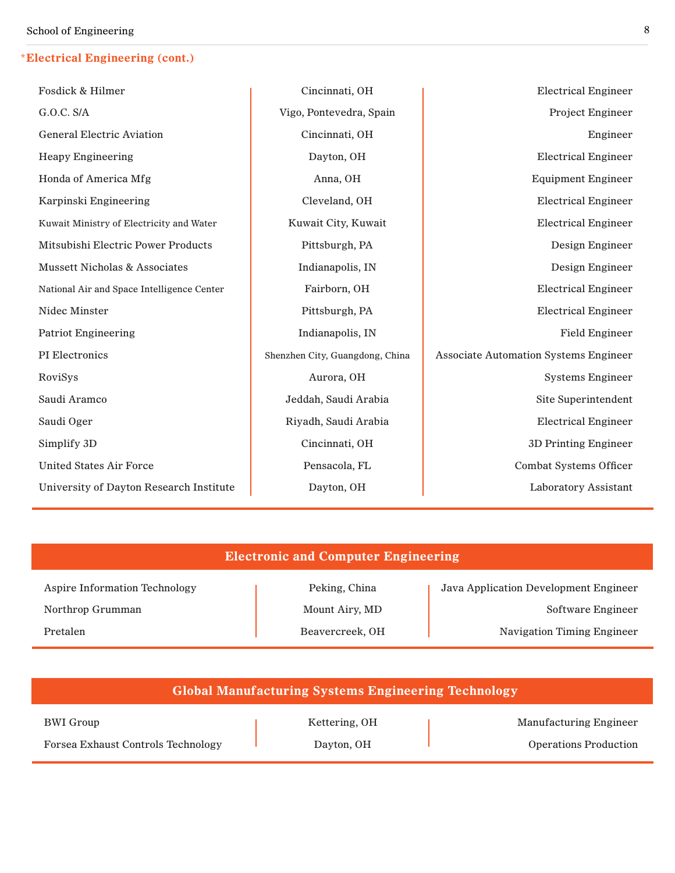### **\*Electrical Engineering (cont.)**

| G.O.C. S/A<br>Project Engineer<br>Vigo, Pontevedra, Spain<br><b>General Electric Aviation</b><br>Cincinnati, OH<br>Engineer<br><b>Heapy Engineering</b><br>Dayton, OH<br><b>Electrical Engineer</b><br>Honda of America Mfg<br>Anna, OH<br><b>Equipment Engineer</b><br>Karpinski Engineering<br>Cleveland, OH<br><b>Electrical Engineer</b><br>Kuwait City, Kuwait<br><b>Electrical Engineer</b><br>Kuwait Ministry of Electricity and Water<br>Mitsubishi Electric Power Products<br>Pittsburgh, PA<br>Design Engineer<br><b>Mussett Nicholas &amp; Associates</b><br>Indianapolis, IN<br>Design Engineer<br>Fairborn, OH<br><b>Electrical Engineer</b><br>National Air and Space Intelligence Center<br>Nidec Minster<br>Pittsburgh, PA<br><b>Electrical Engineer</b><br>Indianapolis, IN<br><b>Field Engineer</b><br><b>Patriot Engineering</b><br>PI Electronics<br><b>Associate Automation Systems Engineer</b><br>Shenzhen City, Guangdong, China<br>Aurora, OH<br>RoviSys<br><b>Systems Engineer</b><br>Saudi Aramco<br>Jeddah, Saudi Arabia<br>Site Superintendent<br>Saudi Oger<br>Riyadh, Saudi Arabia<br><b>Electrical Engineer</b><br>Simplify 3D<br>Cincinnati, OH<br>3D Printing Engineer<br><b>United States Air Force</b><br>Pensacola, FL<br>Combat Systems Officer<br>University of Dayton Research Institute<br>Dayton, OH<br><b>Laboratory Assistant</b> | Fosdick & Hilmer | Cincinnati, OH | <b>Electrical Engineer</b> |
|-------------------------------------------------------------------------------------------------------------------------------------------------------------------------------------------------------------------------------------------------------------------------------------------------------------------------------------------------------------------------------------------------------------------------------------------------------------------------------------------------------------------------------------------------------------------------------------------------------------------------------------------------------------------------------------------------------------------------------------------------------------------------------------------------------------------------------------------------------------------------------------------------------------------------------------------------------------------------------------------------------------------------------------------------------------------------------------------------------------------------------------------------------------------------------------------------------------------------------------------------------------------------------------------------------------------------------------------------------------------------------|------------------|----------------|----------------------------|
|                                                                                                                                                                                                                                                                                                                                                                                                                                                                                                                                                                                                                                                                                                                                                                                                                                                                                                                                                                                                                                                                                                                                                                                                                                                                                                                                                                               |                  |                |                            |
|                                                                                                                                                                                                                                                                                                                                                                                                                                                                                                                                                                                                                                                                                                                                                                                                                                                                                                                                                                                                                                                                                                                                                                                                                                                                                                                                                                               |                  |                |                            |
|                                                                                                                                                                                                                                                                                                                                                                                                                                                                                                                                                                                                                                                                                                                                                                                                                                                                                                                                                                                                                                                                                                                                                                                                                                                                                                                                                                               |                  |                |                            |
|                                                                                                                                                                                                                                                                                                                                                                                                                                                                                                                                                                                                                                                                                                                                                                                                                                                                                                                                                                                                                                                                                                                                                                                                                                                                                                                                                                               |                  |                |                            |
|                                                                                                                                                                                                                                                                                                                                                                                                                                                                                                                                                                                                                                                                                                                                                                                                                                                                                                                                                                                                                                                                                                                                                                                                                                                                                                                                                                               |                  |                |                            |
|                                                                                                                                                                                                                                                                                                                                                                                                                                                                                                                                                                                                                                                                                                                                                                                                                                                                                                                                                                                                                                                                                                                                                                                                                                                                                                                                                                               |                  |                |                            |
|                                                                                                                                                                                                                                                                                                                                                                                                                                                                                                                                                                                                                                                                                                                                                                                                                                                                                                                                                                                                                                                                                                                                                                                                                                                                                                                                                                               |                  |                |                            |
|                                                                                                                                                                                                                                                                                                                                                                                                                                                                                                                                                                                                                                                                                                                                                                                                                                                                                                                                                                                                                                                                                                                                                                                                                                                                                                                                                                               |                  |                |                            |
|                                                                                                                                                                                                                                                                                                                                                                                                                                                                                                                                                                                                                                                                                                                                                                                                                                                                                                                                                                                                                                                                                                                                                                                                                                                                                                                                                                               |                  |                |                            |
|                                                                                                                                                                                                                                                                                                                                                                                                                                                                                                                                                                                                                                                                                                                                                                                                                                                                                                                                                                                                                                                                                                                                                                                                                                                                                                                                                                               |                  |                |                            |
|                                                                                                                                                                                                                                                                                                                                                                                                                                                                                                                                                                                                                                                                                                                                                                                                                                                                                                                                                                                                                                                                                                                                                                                                                                                                                                                                                                               |                  |                |                            |
|                                                                                                                                                                                                                                                                                                                                                                                                                                                                                                                                                                                                                                                                                                                                                                                                                                                                                                                                                                                                                                                                                                                                                                                                                                                                                                                                                                               |                  |                |                            |
|                                                                                                                                                                                                                                                                                                                                                                                                                                                                                                                                                                                                                                                                                                                                                                                                                                                                                                                                                                                                                                                                                                                                                                                                                                                                                                                                                                               |                  |                |                            |
|                                                                                                                                                                                                                                                                                                                                                                                                                                                                                                                                                                                                                                                                                                                                                                                                                                                                                                                                                                                                                                                                                                                                                                                                                                                                                                                                                                               |                  |                |                            |
|                                                                                                                                                                                                                                                                                                                                                                                                                                                                                                                                                                                                                                                                                                                                                                                                                                                                                                                                                                                                                                                                                                                                                                                                                                                                                                                                                                               |                  |                |                            |
|                                                                                                                                                                                                                                                                                                                                                                                                                                                                                                                                                                                                                                                                                                                                                                                                                                                                                                                                                                                                                                                                                                                                                                                                                                                                                                                                                                               |                  |                |                            |
|                                                                                                                                                                                                                                                                                                                                                                                                                                                                                                                                                                                                                                                                                                                                                                                                                                                                                                                                                                                                                                                                                                                                                                                                                                                                                                                                                                               |                  |                |                            |
|                                                                                                                                                                                                                                                                                                                                                                                                                                                                                                                                                                                                                                                                                                                                                                                                                                                                                                                                                                                                                                                                                                                                                                                                                                                                                                                                                                               |                  |                |                            |

#### **Electronic and Computer Engineering**

Aspire Information Technology (Peking, China Java Application Development Engineer Northrop Grumman Mount Airy, MD Software Engineer Pretalen **Beavercreek**, OH Navigation Timing Engineer

| <b>Global Manufacturing Systems Engineering Technology</b> |               |                               |
|------------------------------------------------------------|---------------|-------------------------------|
| BWI Group                                                  | Kettering, OH | <b>Manufacturing Engineer</b> |
| <b>Forsea Exhaust Controls Technology</b>                  | Dayton, OH    | <b>Operations Production</b>  |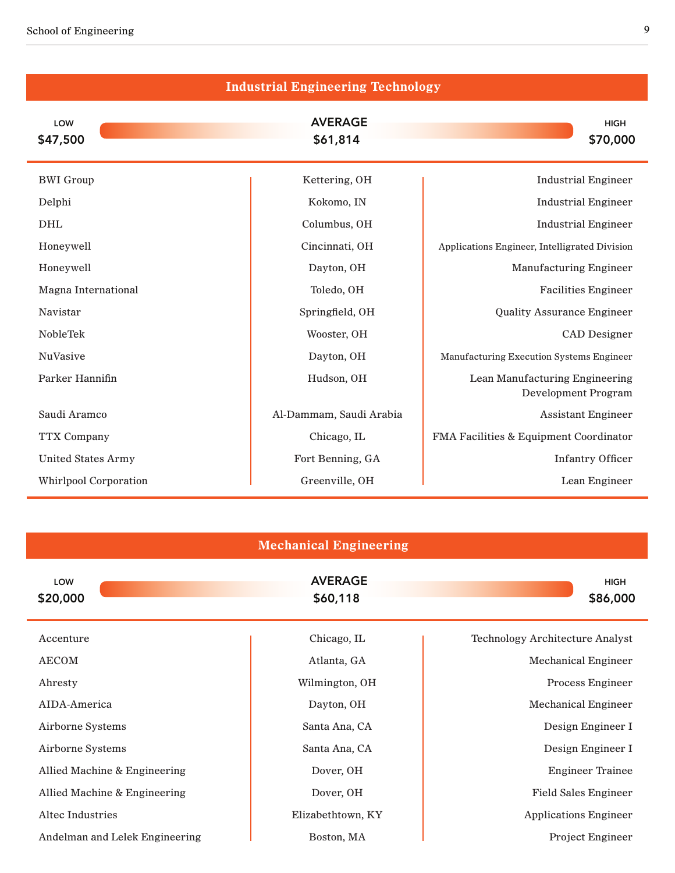| <b>Industrial Engineering Technology</b> |                            |                                                              |  |  |
|------------------------------------------|----------------------------|--------------------------------------------------------------|--|--|
| LOW<br>\$47,500                          | <b>AVERAGE</b><br>\$61,814 | <b>HIGH</b><br>\$70,000                                      |  |  |
| <b>BWI</b> Group                         | Kettering, OH              | <b>Industrial Engineer</b>                                   |  |  |
| Delphi                                   | Kokomo, IN                 | <b>Industrial Engineer</b>                                   |  |  |
| <b>DHL</b>                               | Columbus, OH               | <b>Industrial Engineer</b>                                   |  |  |
| Honeywell                                | Cincinnati, OH             | Applications Engineer, Intelligrated Division                |  |  |
| Honeywell                                | Dayton, OH                 | <b>Manufacturing Engineer</b>                                |  |  |
| Magna International                      | Toledo, OH                 | <b>Facilities Engineer</b>                                   |  |  |
| Navistar                                 | Springfield, OH            | <b>Quality Assurance Engineer</b>                            |  |  |
| NobleTek                                 | Wooster, OH                | CAD Designer                                                 |  |  |
| NuVasive                                 | Dayton, OH                 | Manufacturing Execution Systems Engineer                     |  |  |
| Parker Hannifin                          | Hudson, OH                 | Lean Manufacturing Engineering<br><b>Development Program</b> |  |  |
| Saudi Aramco                             | Al-Dammam, Saudi Arabia    | <b>Assistant Engineer</b>                                    |  |  |
| <b>TTX Company</b>                       | Chicago, IL                | FMA Facilities & Equipment Coordinator                       |  |  |
| <b>United States Army</b>                | Fort Benning, GA           | <b>Infantry Officer</b>                                      |  |  |
| <b>Whirlpool Corporation</b>             | Greenville, OH             | Lean Engineer                                                |  |  |

|  | <b>Mechanical Engineering</b> |
|--|-------------------------------|
|  |                               |

| LOW<br>\$20,000                | <b>AVERAGE</b><br>\$60,118 | <b>HIGH</b><br>\$86,000                |
|--------------------------------|----------------------------|----------------------------------------|
| Accenture                      | Chicago, IL                | <b>Technology Architecture Analyst</b> |
| <b>AECOM</b>                   | Atlanta, GA                | <b>Mechanical Engineer</b>             |
| Ahresty                        | Wilmington, OH             | Process Engineer                       |
| AIDA-America                   | Dayton, OH                 | <b>Mechanical Engineer</b>             |
| Airborne Systems               | Santa Ana, CA              | Design Engineer I                      |
| Airborne Systems               | Santa Ana, CA              | Design Engineer I                      |
| Allied Machine & Engineering   | Dover, OH                  | <b>Engineer Trainee</b>                |
| Allied Machine & Engineering   | Dover, OH                  | <b>Field Sales Engineer</b>            |
| Altec Industries               | Elizabethtown, KY          | <b>Applications Engineer</b>           |
| Andelman and Lelek Engineering | Boston, MA                 | <b>Project Engineer</b>                |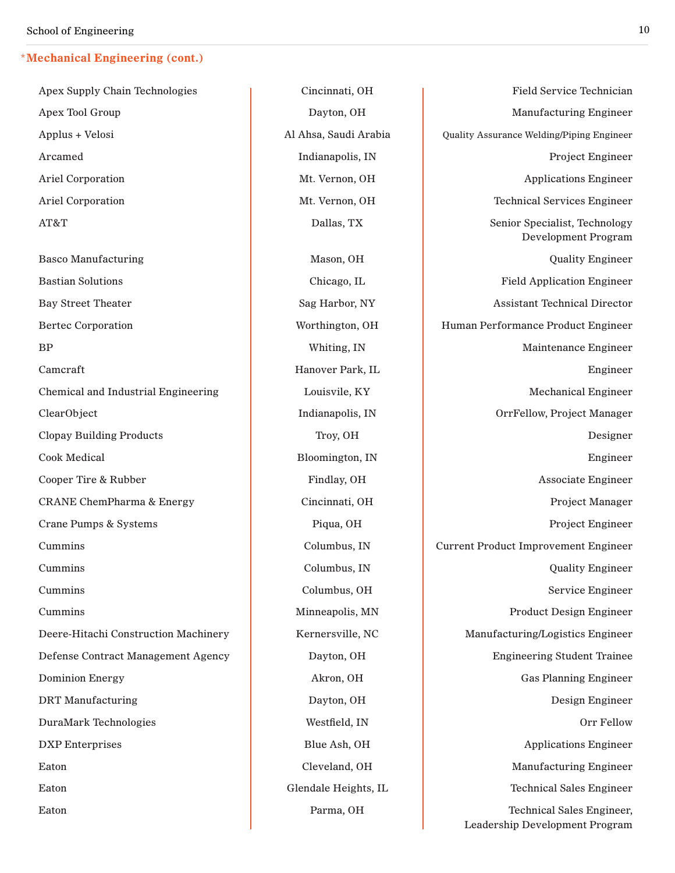Apex Supply Chain Technologies (and Technologies (and Technologies Cincinnati, OH Field Service Technician

Apex Tool Group **Dayton, OH** Dayton, OH Manufacturing Engineer Applus + Velosi **Al Ahsa, Saudi Arabia** Quality Assurance Welding/Piping Engineer Arcamed and Indianapolis, IN Project Engineer Ariel Corporation **Mt. Vernon, OH** Applications Engineer Ariel Corporation **Mt. Vernon, OH** Technical Services Engineer AT&T **Dallas, TX** Senior Specialist, Technology Development Program Basco Manufacturing and Mason, OH Mason, OH Quality Engineer Bastian Solutions **Chicago, IL** Chicago, IL **Field Application Engineer** Chicago, IL **Field Application Engineer** Bay Street Theater Sag Harbor, NY Assistant Technical Director Bertec Corporation **Network** Worthington, OH Human Performance Product Engineer BP Whiting, IN Maintenance Engineer Camcraft **Hanover Park, IL** Begineer **Hanover Park**, IL Engineer Chemical and Industrial Engineering and Louisvile, KY Mechanical Engineer ClearObject Indianapolis, IN OrrFellow, Project Manager Clopay Building Products **Troy, OH** Troy, OH Designer Cook Medical Bloomington, IN Engineer Cooper Tire & Rubber **Findlay, OH Findlay, OH** Associate Engineer CRANE ChemPharma & Energy Cincinnati, OH Project Manager Crane Pumps & Systems **Pumps & Systems** Piqua, OH Project Engineer Cummins Columbus, IN Current Product Improvement Engineer Cummins Columbus, IN Columbus, IN Columbus, IN Quality Engineer Cummins Columbus, OH Service Engineer Cummins and Cummins and Cummins and Cummins and Minneapolis, MN and Product Design Engineer Deere-Hitachi Construction Machinery Kernersville, NC Manufacturing/Logistics Engineer Defense Contract Management Agency Dayton, OH Engineering Student Trainee Dominion Energy **Akron**, OH Research Gas Planning Engineer DRT Manufacturing and Dayton, OH Dayton, OH Design Engineer DuraMark Technologies and the Westfield, IN and the Control of Tellow Corr Fellow DXP Enterprises and the Blue Ash, OH Applications Engineer Eaton **Cleveland, OH** Cleveland, OH Manufacturing Engineer Eaton Glendale Heights, IL Communication Glendale Heights, IL Communication Communication Communication Communication Communication Communication Communication Communication Communication Communication Communication Commun Eaton **Parma, OH** Parma, OH Technical Sales Engineer, Leadership Development Program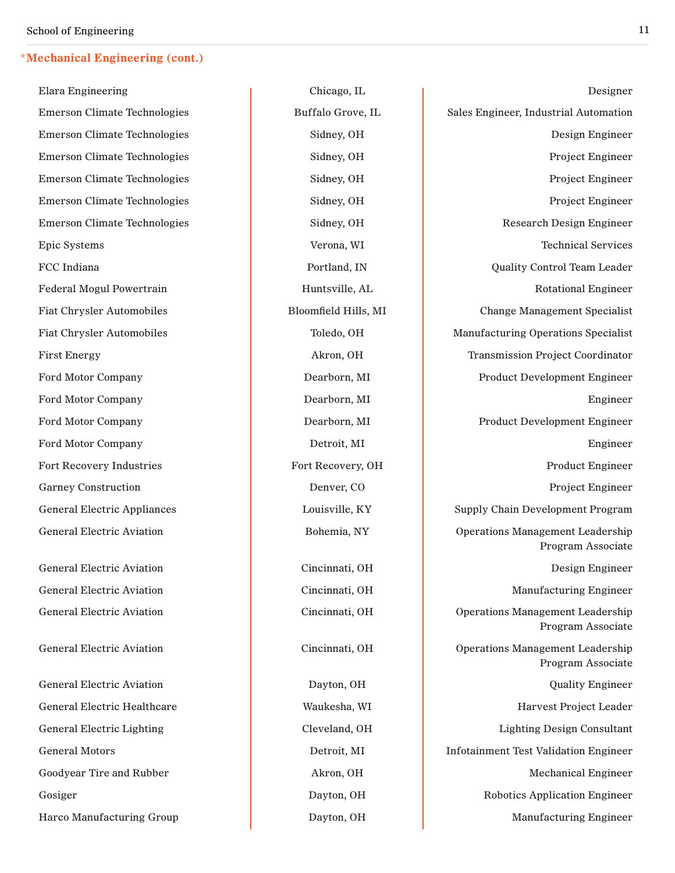Elara Engineering The Chicago, IL Chicago, IL Chicago, IL Chicago, IL Chicago, IL Chicago, IL Chicago, IL Chicago, IL Chicago, IL Chicago, IL Chicago, IL Chicago, IL Chicago, IL Chicago, IL Chicago, IL Chicago, IL Chicago, Emerson Climate Technologies Buffalo Grove, IL Sales Engineer, Industrial Automation Emerson Climate Technologies and Sidney, OH Design Engineer Emerson Climate Technologies and Sidney, OH Project Engineer Emerson Climate Technologies and Sidney, OH Project Engineer Emerson Climate Technologies and Sidney, OH Project Engineer Emerson Climate Technologies and Sidney, OH Research Design Engineer Epic Systems and Technical Services and Technical Services and Technical Services and Technical Services and Technical Services FCC Indiana **Portland, IN** Portland, IN Quality Control Team Leader Federal Mogul Powertrain **Huntsville, AL** Rotational Engineer Fiat Chrysler Automobiles **Bloomfield Hills, MI** Change Management Specialist Fiat Chrysler Automobiles Toledo, OH Manufacturing Operations Specialist First Energy **Akron**, OH Transmission Project Coordinator Ford Motor Company **Dearborn, MI** Dearborn, MI Product Development Engineer Ford Motor Company **Dearborn, MI Dearborn, MI Engineer** Ford Motor Company **Dearborn, MI** Dearborn, MI Product Development Engineer Ford Motor Company **Detroit, MI Detroit, MI Engineer** Fort Recovery Industries **Fort Recovery, OH** Product Engineer Garney Construction **Denver, CO** Project Engineer General Electric Appliances and Louisville, KY Supply Chain Development Program General Electric Aviation **Bohemia, NY** Operations Management Leadership Program Associate General Electric Aviation **Cincinnati**, OH **Design Engineer** Design Engineer General Electric Aviation **Cincinnati**, OH Manufacturing Engineer General Electric Aviation **Cincinnati**, OH Operation **Cincinnati**, OH Operations Management Leadership Program Associate General Electric Aviation **Cincinnati**, OH Operations Management Leadership Program Associate General Electric Aviation **Dayton, OH** Dayton, OH Quality Engineer General Electric Healthcare **Network** Waukesha, WI Harvest Project Leader General Electric Lighting Theorem Cleveland, OH Lighting Design Consultant General Motors **Detroit, MI** Infotainment Test Validation Engineer Goodyear Tire and Rubber **Akron**, OH Akron, OH Mechanical Engineer Gosiger **Dayton, OH** Robotics Application Engineer Harco Manufacturing Group **Dayton, OH** Dayton, OH Manufacturing Engineer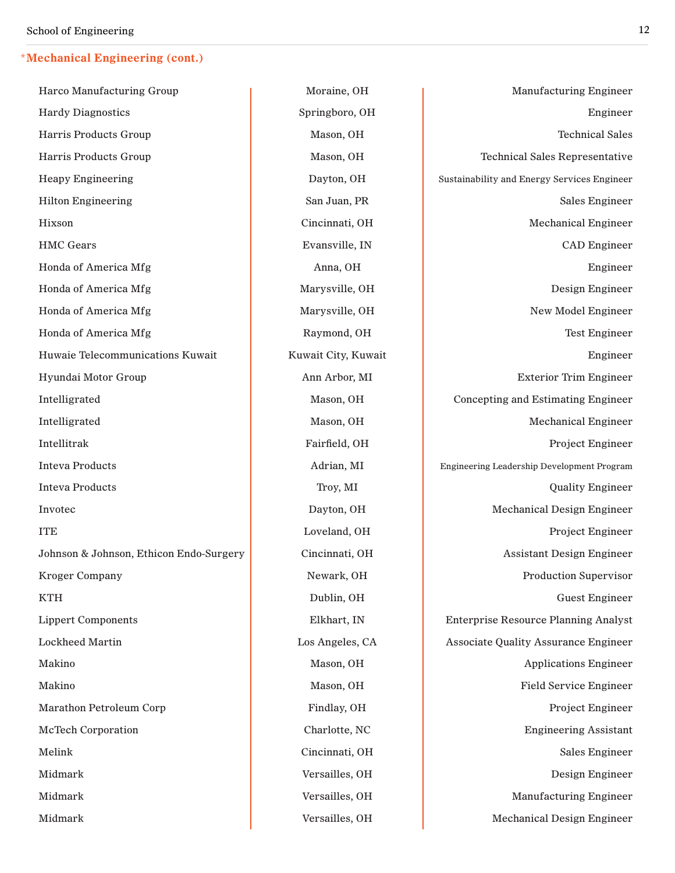Harco Manufacturing Group 
and Theorem and Moraine, OH and Manufacturing Engineer Hardy Diagnostics and the Springboro, OH and Springboro, OH Engineer Harris Products Group Mason, OH Mason, OH Technical Sales Harris Products Group Nason, OH Mason, OH Technical Sales Representative Heapy Engineering **Engineering Engineering Constant Constant Constant Constant Constant Constant Constant Constant Constant Constant Constant Constant Constant Constant Constant Constant Constant Constant Constant Constant** Hilton Engineering San Juan, PR San Juan, PR Sales Engineer Hixson **Cincinnati, OH** Mechanical Engineer HMC Gears **Evansville, IN** Evansville, IN CAD Engineer Honda of America Mfg **Anna**, OH **Engineer Engineer Engineer** Honda of America Mfg Marysville, OH Narysville, OH Design Engineer Honda of America Mfg Marysville, OH New Model Engineer Honda of America Mfg **Raymond, OH** Raymond, OH Test Engineer Huwaie Telecommunications Kuwait Kuwait City, Kuwait Kuwait Engineer Hyundai Motor Group Anne Ann Arbor, MI Exterior Trim Engineer Intelligrated Mason, OH Concepting and Estimating Engineer Intelligrated Mason, OH Mason, OH Mechanical Engineer Intellitrak **Fairfield, OH** Project Engineer Inteva Products and Adrian, MI Engineering Leadership Development Program Inteva Products and Troy, MI Constant and Troy, MI Constant Constant Constant Constant Constant Constant Constant Constant Constant Constant Constant Constant Constant Constant Constant Constant Constant Constant Constant Invotec and Dayton, OH Dayton, OH Mechanical Design Engineer ITE **ITE Loveland, OH Project Engineer** Johnson & Johnson, Ethicon Endo-Surgery Cincinnati, OH Assistant Design Engineer Kroger Company Newark, OH Newark, OH Production Supervisor KTH Guest Engineer Lippert Components Elkhart, IN Enterprise Resource Planning Analyst Lockheed Martin **Los Angeles, CA** Associate Quality Assurance Engineer Makino **Masou, CH** Mason, OH **Masou, OH** Applications Engineer Makino **Mason**, **Mason, OH Mason**, OH **Field Service Engineer** Marathon Petroleum Corp **Findlay, OH** Project Engineer McTech Corporation Charlotte, NC Engineering Assistant Melink Sales Engineer and Cincinnati, OH Sales Engineer Sales Engineer Midmark **Design Engineer Network Versailles, OH Design Engineer Design Engineer** Midmark **Versailles, OH** Manufacturing Engineer Midmark **Versailles, OH** Mechanical Design Engineer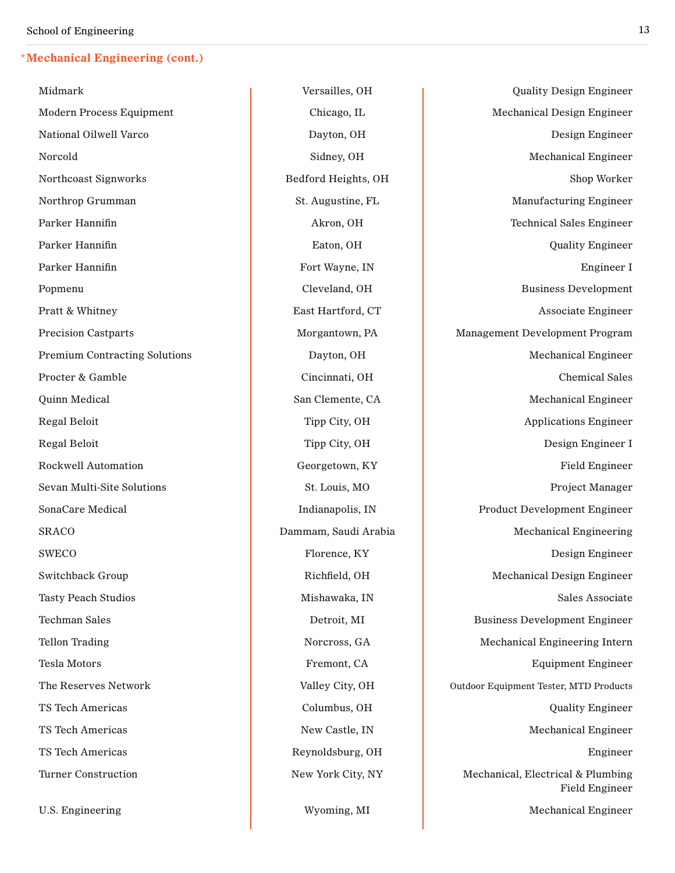U.S. Engineering and a set of the Myoming, MI Mechanical Engineer Mechanical Engineer

Midmark Versailles, OH Quality Design Engineer Modern Process Equipment 
and Chicago, IL Chicago, IL Mechanical Design Engineer National Oilwell Varco Dayton, OH Design Engineer Norcold Sidney, OH Mechanical Engineer Northcoast Signworks **Bedford Heights, OH** Bedford Heights, OH Shop Worker Northrop Grumman 
St. Augustine, FL Manufacturing Engineer

Northrop Grumman Parker Hannifin **Akron**, OH **Technical Sales Engineer** Akron, OH **Technical Sales Engineer** Parker Hannifin **Eaton, OH** Eaton, OH **CONFIDENTIAL CONSUMING THE CONFIDENT** CONSUMITY Engineer Parker Hannifin Fort Wayne, IN Engineer I Popmenu Cleveland, OH Business Development Pratt & Whitney **East Hartford, CT** Associate Engineer **Associate Engineer** Precision Castparts **Morgantown, PA** Management Development Program Premium Contracting Solutions and Dayton, OH Dayton, OH Mechanical Engineer Procter & Gamble **Cincinnati**, OH Chemical Sales Quinn Medical San Clemente, CA Mechanical Engineer Regal Beloit **Tipp City, OH** Applications Engineer Regal Beloit **Tipp City, OH** Design Engineer I Rockwell Automation **Exercise Construction** Georgetown, KY **Field Engineer** Field Engineer Sevan Multi-Site Solutions and St. Louis, MO Broject Manager SonaCare Medical **Indianapolis, IN** Product Development Engineer SRACO Dammam, Saudi Arabia Mechanical Engineering SWECO **Florence, KY** Design Engineer Switchback Group **Richfield, OH** Richfield, OH Mechanical Design Engineer Tasty Peach Studios **Mishawaka, IN** Mishawaka, IN Sales Associate Techman Sales **Detroit, MI** Business Development Engineer Tellon Trading Norcross, GA Norcross, GA Mechanical Engineering Intern Tesla Motors **Fremont, CA** Tesla Motors **Fremont, CA** Equipment Engineer The Reserves Network **Valley City, OH** Outdoor Equipment Tester, MTD Products TS Tech Americas and the Columbus, OH Columbus, OH Quality Engineer TS Tech Americas and New Castle, IN Mechanical Engineer TS Tech Americas and the Reynoldsburg, OH and the Reynoldsburg, OH engineer Turner Construction **New York City, NY** Mechanical, Electrical & Plumbing Field Engineer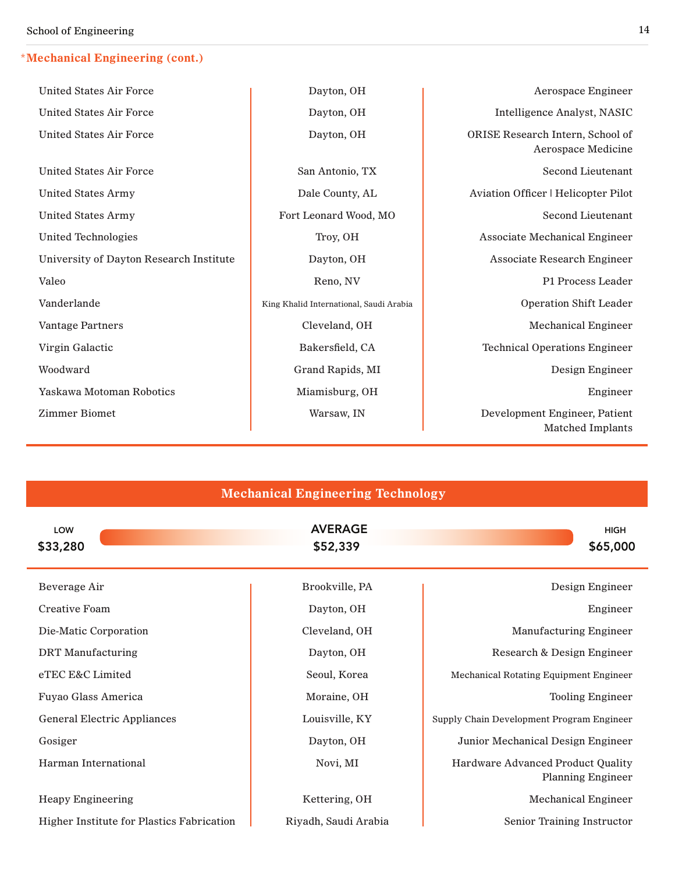| <b>United States Air Force</b>          | Dayton, OH                              | Aerospace Engineer                                       |
|-----------------------------------------|-----------------------------------------|----------------------------------------------------------|
| <b>United States Air Force</b>          | Dayton, OH                              | Intelligence Analyst, NASIC                              |
| <b>United States Air Force</b>          | Dayton, OH                              | ORISE Research Intern, School of<br>Aerospace Medicine   |
| <b>United States Air Force</b>          | San Antonio, TX                         | Second Lieutenant                                        |
| <b>United States Army</b>               | Dale County, AL                         | Aviation Officer   Helicopter Pilot                      |
| <b>United States Army</b>               | Fort Leonard Wood, MO                   | <b>Second Lieutenant</b>                                 |
| <b>United Technologies</b>              | Troy, OH                                | <b>Associate Mechanical Engineer</b>                     |
| University of Dayton Research Institute | Dayton, OH                              | <b>Associate Research Engineer</b>                       |
| Valeo                                   | Reno, NV                                | P1 Process Leader                                        |
| Vanderlande                             | King Khalid International, Saudi Arabia | <b>Operation Shift Leader</b>                            |
| <b>Vantage Partners</b>                 | Cleveland, OH                           | <b>Mechanical Engineer</b>                               |
| Virgin Galactic                         | Bakersfield, CA                         | <b>Technical Operations Engineer</b>                     |
| Woodward                                | Grand Rapids, MI                        | Design Engineer                                          |
| <b>Yaskawa Motoman Robotics</b>         | Miamisburg, OH                          | Engineer                                                 |
| <b>Zimmer Biomet</b>                    | Warsaw, IN                              | Development Engineer, Patient<br><b>Matched Implants</b> |

| <b>Mechanical Engineering Technology</b>  |                            |                                                               |  |  |
|-------------------------------------------|----------------------------|---------------------------------------------------------------|--|--|
| LOW<br>\$33,280                           | <b>AVERAGE</b><br>\$52,339 | <b>HIGH</b><br>\$65,000                                       |  |  |
| Beverage Air                              | Brookville, PA             | Design Engineer                                               |  |  |
| Creative Foam                             | Dayton, OH                 | Engineer                                                      |  |  |
| Die-Matic Corporation                     | Cleveland, OH              | <b>Manufacturing Engineer</b>                                 |  |  |
| <b>DRT</b> Manufacturing                  | Dayton, OH                 | Research & Design Engineer                                    |  |  |
| eTEC E&C Limited                          | Seoul, Korea               | <b>Mechanical Rotating Equipment Engineer</b>                 |  |  |
| Fuyao Glass America                       | Moraine, OH                | <b>Tooling Engineer</b>                                       |  |  |
| <b>General Electric Appliances</b>        | Louisville, KY             | Supply Chain Development Program Engineer                     |  |  |
| Gosiger                                   | Dayton, OH                 | Junior Mechanical Design Engineer                             |  |  |
| Harman International                      | Novi, MI                   | Hardware Advanced Product Quality<br><b>Planning Engineer</b> |  |  |
| <b>Heapy Engineering</b>                  | Kettering, OH              | <b>Mechanical Engineer</b>                                    |  |  |
| Higher Institute for Plastics Fabrication | Riyadh, Saudi Arabia       | Senior Training Instructor                                    |  |  |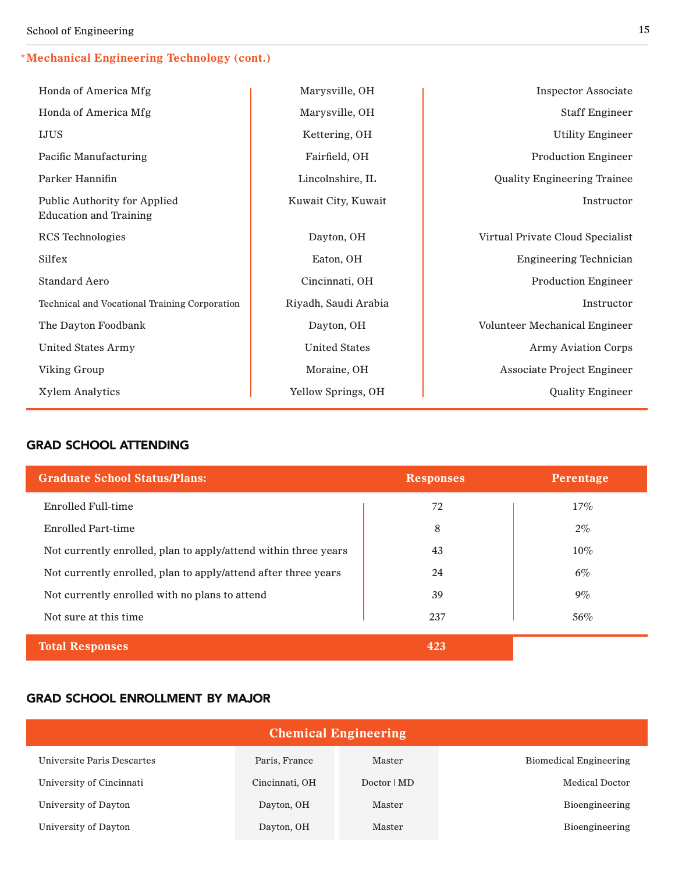#### **\*Mechanical Engineering Technology (cont.)**

| Honda of America Mfg                                          | Marysville, OH       | <b>Inspector Associate</b>         |
|---------------------------------------------------------------|----------------------|------------------------------------|
| Honda of America Mfg                                          | Marysville, OH       | <b>Staff Engineer</b>              |
| <b>IJUS</b>                                                   | Kettering, OH        | <b>Utility Engineer</b>            |
| Pacific Manufacturing                                         | Fairfield, OH        | <b>Production Engineer</b>         |
| Parker Hannifin                                               | Lincolnshire, IL     | <b>Quality Engineering Trainee</b> |
| Public Authority for Applied<br><b>Education and Training</b> | Kuwait City, Kuwait  | Instructor                         |
| <b>RCS</b> Technologies                                       | Dayton, OH           | Virtual Private Cloud Specialist   |
| Silfex                                                        | Eaton, OH            | <b>Engineering Technician</b>      |
| <b>Standard Aero</b>                                          | Cincinnati, OH       | <b>Production Engineer</b>         |
| Technical and Vocational Training Corporation                 | Riyadh, Saudi Arabia | Instructor                         |
| The Dayton Foodbank                                           | Dayton, OH           | Volunteer Mechanical Engineer      |
| <b>United States Army</b>                                     | <b>United States</b> | <b>Army Aviation Corps</b>         |
| Viking Group                                                  | Moraine, OH          | <b>Associate Project Engineer</b>  |
| <b>Xylem Analytics</b>                                        | Yellow Springs, OH   | <b>Quality Engineer</b>            |

#### grad school attending

| <b>Graduate School Status/Plans:</b>                            | <b>Responses</b> | Perentage |
|-----------------------------------------------------------------|------------------|-----------|
| Enrolled Full-time                                              | 72               | $17\%$    |
| Enrolled Part-time                                              | 8                | $2\%$     |
| Not currently enrolled, plan to apply/attend within three years | 43               | $10\%$    |
| Not currently enrolled, plan to apply/attend after three years  | 24               | $6\%$     |
| Not currently enrolled with no plans to attend                  | 39               | $9\%$     |
| Not sure at this time.                                          | 237              | 56%       |
| <b>Total Responses</b>                                          | 423              |           |

#### grad school enrollment by major

| <b>Chemical Engineering</b> |                |             |                        |  |
|-----------------------------|----------------|-------------|------------------------|--|
| Universite Paris Descartes  | Paris, France  | Master      | Biomedical Engineering |  |
| University of Cincinnati    | Cincinnati, OH | Doctor   MD | <b>Medical Doctor</b>  |  |
| University of Dayton        | Dayton, OH     | Master      | Bioengineering         |  |
| University of Dayton        | Dayton, OH     | Master      | Bioengineering         |  |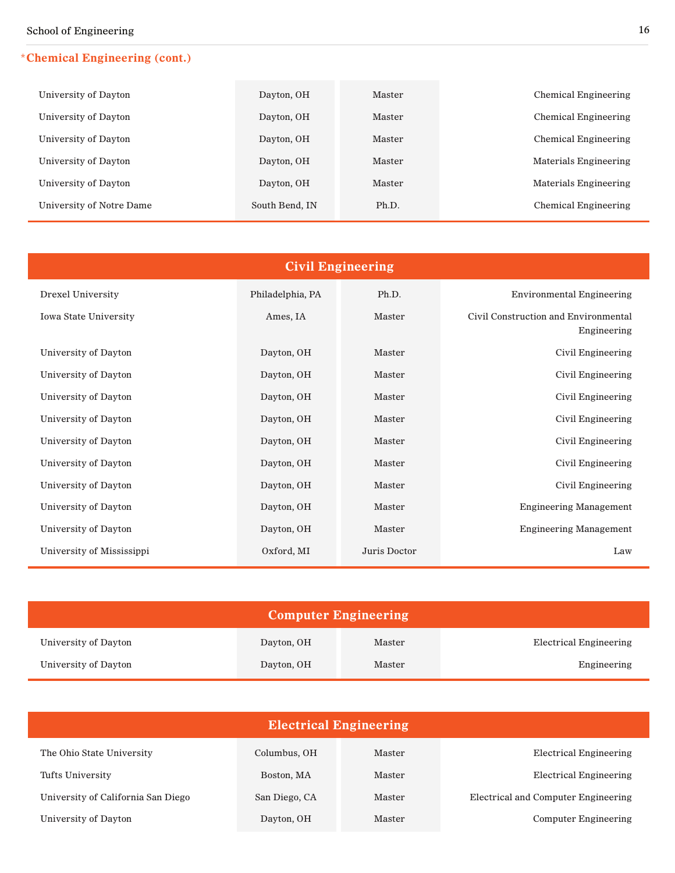#### **\*Chemical Engineering (cont.)**

| University of Dayton     | Dayton, OH     | Master | Chemical Engineering  |
|--------------------------|----------------|--------|-----------------------|
| University of Dayton     | Dayton, OH     | Master | Chemical Engineering  |
| University of Dayton     | Dayton, OH     | Master | Chemical Engineering  |
| University of Dayton     | Dayton, OH     | Master | Materials Engineering |
| University of Dayton     | Dayton, OH     | Master | Materials Engineering |
| University of Notre Dame | South Bend, IN | Ph.D.  | Chemical Engineering  |

| <b>Civil Engineering</b>     |                  |              |                                                     |  |
|------------------------------|------------------|--------------|-----------------------------------------------------|--|
| Drexel University            | Philadelphia, PA | Ph.D.        | <b>Environmental Engineering</b>                    |  |
| <b>Iowa State University</b> | Ames, IA         | Master       | Civil Construction and Environmental<br>Engineering |  |
| University of Dayton         | Dayton, OH       | Master       | Civil Engineering                                   |  |
| University of Dayton         | Dayton, OH       | Master       | Civil Engineering                                   |  |
| University of Dayton         | Dayton, OH       | Master       | Civil Engineering                                   |  |
| University of Dayton         | Dayton, OH       | Master       | Civil Engineering                                   |  |
| University of Dayton         | Dayton, OH       | Master       | Civil Engineering                                   |  |
| University of Dayton         | Dayton, OH       | Master       | Civil Engineering                                   |  |
| University of Dayton         | Dayton, OH       | Master       | Civil Engineering                                   |  |
| University of Dayton         | Dayton, OH       | Master       | <b>Engineering Management</b>                       |  |
| University of Dayton         | Dayton, OH       | Master       | <b>Engineering Management</b>                       |  |
| University of Mississippi    | Oxford, MI       | Juris Doctor | Law                                                 |  |

| <b>Computer Engineering</b> |            |        |                        |
|-----------------------------|------------|--------|------------------------|
| University of Dayton        | Dayton, OH | Master | Electrical Engineering |
| University of Dayton        | Dayton, OH | Master | Engineering            |

| <b>Electrical Engineering</b>      |               |        |                                     |
|------------------------------------|---------------|--------|-------------------------------------|
| The Ohio State University          | Columbus, OH  | Master | Electrical Engineering              |
| Tufts University                   | Boston, MA    | Master | Electrical Engineering              |
| University of California San Diego | San Diego, CA | Master | Electrical and Computer Engineering |
| University of Dayton               | Dayton, OH    | Master | Computer Engineering                |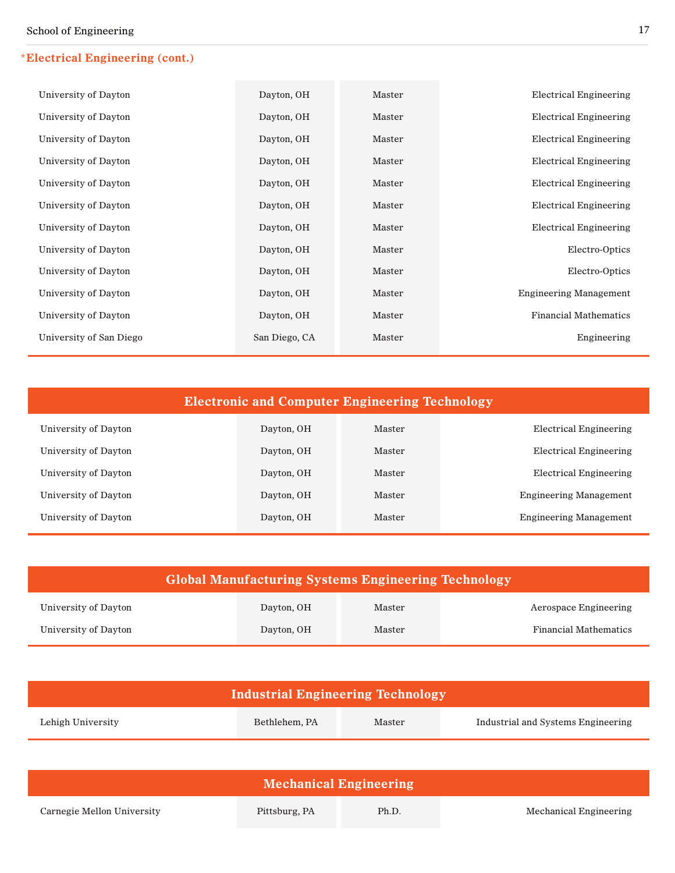#### **\*Electrical Engineering (cont.)**

| University of Dayton    | Dayton, OH    | Master | <b>Electrical Engineering</b> |
|-------------------------|---------------|--------|-------------------------------|
| University of Dayton    | Dayton, OH    | Master | <b>Electrical Engineering</b> |
| University of Dayton    | Dayton, OH    | Master | <b>Electrical Engineering</b> |
| University of Dayton    | Dayton, OH    | Master | <b>Electrical Engineering</b> |
| University of Dayton    | Dayton, OH    | Master | <b>Electrical Engineering</b> |
| University of Dayton    | Dayton, OH    | Master | <b>Electrical Engineering</b> |
| University of Dayton    | Dayton, OH    | Master | <b>Electrical Engineering</b> |
| University of Dayton    | Dayton, OH    | Master | Electro-Optics                |
| University of Dayton    | Dayton, OH    | Master | Electro-Optics                |
| University of Dayton    | Dayton, OH    | Master | <b>Engineering Management</b> |
| University of Dayton    | Dayton, OH    | Master | <b>Financial Mathematics</b>  |
| University of San Diego | San Diego, CA | Master | Engineering                   |

| <b>Electronic and Computer Engineering Technology</b> |            |        |                               |
|-------------------------------------------------------|------------|--------|-------------------------------|
| University of Dayton                                  | Dayton, OH | Master | Electrical Engineering        |
| University of Dayton                                  | Dayton, OH | Master | Electrical Engineering        |
| University of Dayton                                  | Dayton, OH | Master | Electrical Engineering        |
| University of Dayton                                  | Dayton, OH | Master | <b>Engineering Management</b> |
| University of Dayton                                  | Dayton, OH | Master | <b>Engineering Management</b> |

| <b>Global Manufacturing Systems Engineering Technology</b> |            |        |                              |
|------------------------------------------------------------|------------|--------|------------------------------|
| University of Dayton                                       | Dayton, OH | Master | Aerospace Engineering        |
| University of Dayton                                       | Dayton, OH | Master | <b>Financial Mathematics</b> |

| <b>Industrial Engineering Technology</b> |               |        |                                    |  |
|------------------------------------------|---------------|--------|------------------------------------|--|
| Lehigh University                        | Bethlehem, PA | Master | Industrial and Systems Engineering |  |
|                                          |               |        |                                    |  |
| <b>Mechanical Engineering</b>            |               |        |                                    |  |
| Carnegie Mellon University               | Pittsburg, PA | Ph.D.  | Mechanical Engineering             |  |